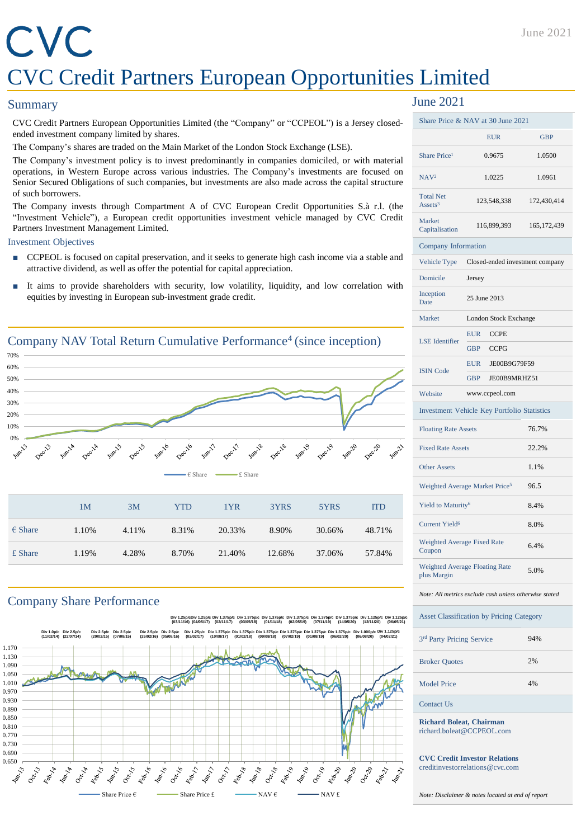# CVC CVC Credit Partners European Opportunities Limited

#### **Summary**

CVC Credit Partners European Opportunities Limited (the "Company" or "CCPEOL") is a Jersey closedended investment company limited by shares.

The Company's shares are traded on the Main Market of the London Stock Exchange (LSE).

The Company's investment policy is to invest predominantly in companies domiciled, or with material operations, in Western Europe across various industries. The Company's investments are focused on Senior Secured Obligations of such companies, but investments are also made across the capital structure of such borrowers.

The Company invests through Compartment A of CVC European Credit Opportunities S.à r.l. (the "Investment Vehicle"), a European credit opportunities investment vehicle managed by CVC Credit Partners Investment Management Limited.

#### Investment Objectives

- CCPEOL is focused on capital preservation, and it seeks to generate high cash income via a stable and attractive dividend, as well as offer the potential for capital appreciation.
- It aims to provide shareholders with security, low volatility, liquidity, and low correlation with equities by investing in European sub-investment grade credit.



### Company Share Performance



## June 2021

| Share Price & NAV at 30 June 2021                                        |                                             |               |  |  |
|--------------------------------------------------------------------------|---------------------------------------------|---------------|--|--|
|                                                                          | <b>EUR</b><br><b>GBP</b>                    |               |  |  |
| Share Price <sup>1</sup>                                                 | 0.9675                                      | 1.0500        |  |  |
| NAV <sup>2</sup>                                                         | 1.0225                                      | 1.0961        |  |  |
| <b>Total Net</b><br>Assets <sup>3</sup>                                  | 123,548,338                                 | 172,430,414   |  |  |
| Market<br>Capitalisation                                                 | 116,899,393                                 | 165, 172, 439 |  |  |
|                                                                          | Company Information                         |               |  |  |
| Vehicle Type                                                             | Closed-ended investment company             |               |  |  |
| Domicile                                                                 | Jersey                                      |               |  |  |
| Inception<br>Date                                                        | 25 June 2013                                |               |  |  |
| Market                                                                   | <b>London Stock Exchange</b>                |               |  |  |
| <b>LSE</b> Identifier                                                    | <b>EUR</b><br><b>CCPE</b>                   |               |  |  |
|                                                                          | <b>GBP</b><br><b>CCPG</b>                   |               |  |  |
| <b>ISIN Code</b>                                                         | EUR<br>JE00B9G79F59                         |               |  |  |
|                                                                          | <b>GBP</b><br>JE00B9MRHZ51                  |               |  |  |
| Website                                                                  | www.ccpeol.com                              |               |  |  |
|                                                                          | Investment Vehicle Key Portfolio Statistics |               |  |  |
| <b>Floating Rate Assets</b><br>76.7%                                     |                                             |               |  |  |
| <b>Fixed Rate Assets</b>                                                 |                                             | 22.2%         |  |  |
| <b>Other Assets</b>                                                      |                                             | 1.1%          |  |  |
| Weighted Average Market Price <sup>5</sup>                               |                                             | 96.5          |  |  |
| Yield to Maturity <sup>6</sup>                                           |                                             | 8.4%          |  |  |
| <b>Current Yield<sup>6</sup></b>                                         |                                             | 8.0%          |  |  |
| Weighted Average Fixed Rate<br>Coupon                                    |                                             | 6.4%          |  |  |
| <b>Weighted Average Floating Rate</b><br>plus Margin                     |                                             | 5.0%          |  |  |
| Note: All metrics exclude cash unless otherwise stated                   |                                             |               |  |  |
| <b>Asset Classification by Pricing Category</b>                          |                                             |               |  |  |
| 3rd Party Pricing Service                                                |                                             | 94%           |  |  |
| <b>Broker Quotes</b>                                                     |                                             | 2%            |  |  |
| <b>Model Price</b>                                                       |                                             | 4%            |  |  |
| <b>Contact Us</b>                                                        |                                             |               |  |  |
| <b>Richard Boleat, Chairman</b><br>$\theta$ hard $\theta$ haloet @CCDEOI |                                             |               |  |  |

richard.boleat@CCPEOL.com

**CVC Credit Investor Relations** creditinvestorrelations@cvc.com

*Note: Disclaimer & notes located at end of report*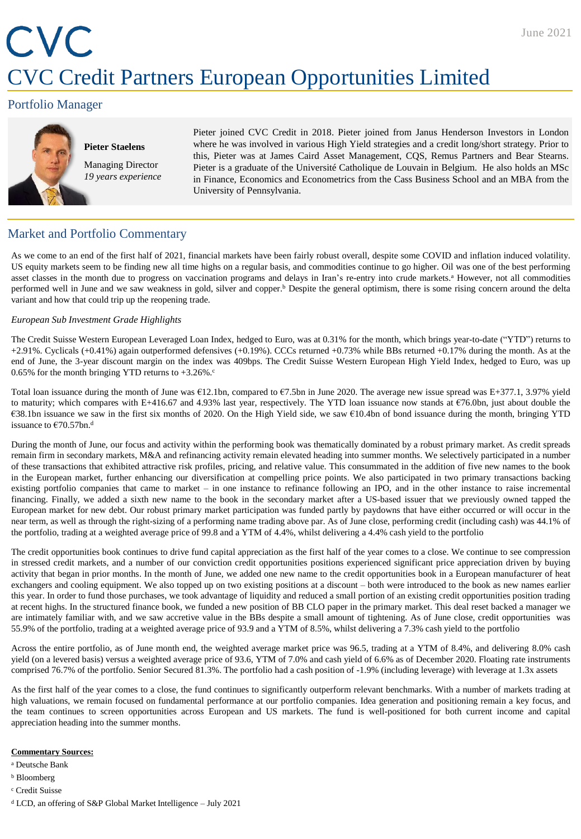# CVC CVC Credit Partners European Opportunities Limited

## Portfolio Manager



**Pieter Staelens** Managing Director *19 years experience* Pieter joined CVC Credit in 2018. Pieter joined from Janus Henderson Investors in London where he was involved in various High Yield strategies and a credit long/short strategy. Prior to this, Pieter was at James Caird Asset Management, CQS, Remus Partners and Bear Stearns. Pieter is a graduate of the Université Catholique de Louvain in Belgium. He also holds an MSc in Finance, Economics and Econometrics from the Cass Business School and an MBA from the University of Pennsylvania.

## Market and Portfolio Commentary

As we come to an end of the first half of 2021, financial markets have been fairly robust overall, despite some COVID and inflation induced volatility. US equity markets seem to be finding new all time highs on a regular basis, and commodities continue to go higher. Oil was one of the best performing asset classes in the month due to progress on vaccination programs and delays in Iran's re-entry into crude markets.<sup>a</sup> However, not all commodities performed well in June and we saw weakness in gold, silver and copper.<sup>b</sup> Despite the general optimism, there is some rising concern around the delta variant and how that could trip up the reopening trade.

#### *European Sub Investment Grade Highlights*

The Credit Suisse Western European Leveraged Loan Index, hedged to Euro, was at 0.31% for the month, which brings year-to-date ("YTD") returns to +2.91%. Cyclicals (+0.41%) again outperformed defensives (+0.19%). CCCs returned +0.73% while BBs returned +0.17% during the month. As at the end of June, the 3-year discount margin on the index was 409bps. The Credit Suisse Western European High Yield Index, hedged to Euro, was up 0.65% for the month bringing YTD returns to  $+3.26\%$ .

Total loan issuance during the month of June was €12.1bn, compared to €7.5bn in June 2020. The average new issue spread was E+377.1, 3.97% yield to maturity; which compares with E+416.67 and 4.93% last year, respectively. The YTD loan issuance now stands at  $\epsilon$ 76.0bn, just about double the €38.1bn issuance we saw in the first six months of 2020. On the High Yield side, we saw €10.4bn of bond issuance during the month, bringing YTD issuance to €70.57bn. d

During the month of June, our focus and activity within the performing book was thematically dominated by a robust primary market. As credit spreads remain firm in secondary markets, M&A and refinancing activity remain elevated heading into summer months. We selectively participated in a number of these transactions that exhibited attractive risk profiles, pricing, and relative value. This consummated in the addition of five new names to the book in the European market, further enhancing our diversification at compelling price points. We also participated in two primary transactions backing existing portfolio companies that came to market – in one instance to refinance following an IPO, and in the other instance to raise incremental financing. Finally, we added a sixth new name to the book in the secondary market after a US-based issuer that we previously owned tapped the European market for new debt. Our robust primary market participation was funded partly by paydowns that have either occurred or will occur in the near term, as well as through the right-sizing of a performing name trading above par. As of June close, performing credit (including cash) was 44.1% of the portfolio, trading at a weighted average price of 99.8 and a YTM of 4.4%, whilst delivering a 4.4% cash yield to the portfolio

The credit opportunities book continues to drive fund capital appreciation as the first half of the year comes to a close. We continue to see compression in stressed credit markets, and a number of our conviction credit opportunities positions experienced significant price appreciation driven by buying activity that began in prior months. In the month of June, we added one new name to the credit opportunities book in a European manufacturer of heat exchangers and cooling equipment. We also topped up on two existing positions at a discount – both were introduced to the book as new names earlier this year. In order to fund those purchases, we took advantage of liquidity and reduced a small portion of an existing credit opportunities position trading at recent highs. In the structured finance book, we funded a new position of BB CLO paper in the primary market. This deal reset backed a manager we are intimately familiar with, and we saw accretive value in the BBs despite a small amount of tightening. As of June close, credit opportunities was 55.9% of the portfolio, trading at a weighted average price of 93.9 and a YTM of 8.5%, whilst delivering a 7.3% cash yield to the portfolio

Across the entire portfolio, as of June month end, the weighted average market price was 96.5, trading at a YTM of 8.4%, and delivering 8.0% cash yield (on a levered basis) versus a weighted average price of 93.6, YTM of 7.0% and cash yield of 6.6% as of December 2020. Floating rate instruments comprised 76.7% of the portfolio. Senior Secured 81.3%. The portfolio had a cash position of -1.9% (including leverage) with leverage at 1.3x assets

As the first half of the year comes to a close, the fund continues to significantly outperform relevant benchmarks. With a number of markets trading at high valuations, we remain focused on fundamental performance at our portfolio companies. Idea generation and positioning remain a key focus, and the team continues to screen opportunities across European and US markets. The fund is well-positioned for both current income and capital appreciation heading into the summer months.

#### **Commentary Sources:**

<sup>a</sup> Deutsche Bank

- <sup>b</sup> Bloomberg
- <sup>c</sup> Credit Suisse
- <sup>d</sup> LCD, an offering of S&P Global Market Intelligence July 2021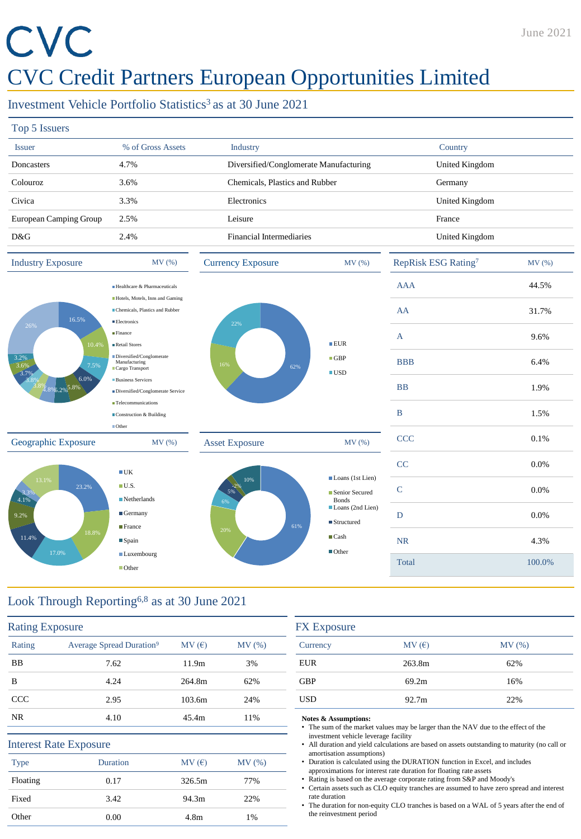# CVC

# CVC Credit Partners European Opportunities Limited

Investment Vehicle Portfolio Statistics<sup>3</sup> as at 30 June 2021

| Top 5 Issuers                                                                    |                                                                                         |                                        |                                                                                        |                                 |         |
|----------------------------------------------------------------------------------|-----------------------------------------------------------------------------------------|----------------------------------------|----------------------------------------------------------------------------------------|---------------------------------|---------|
| <b>Issuer</b>                                                                    | % of Gross Assets                                                                       | Industry                               |                                                                                        | Country                         |         |
| Doncasters                                                                       | 4.7%                                                                                    | Diversified/Conglomerate Manufacturing |                                                                                        | United Kingdom                  |         |
| Colouroz                                                                         | 3.6%                                                                                    | Chemicals, Plastics and Rubber         |                                                                                        | Germany                         |         |
| Civica                                                                           | 3.3%                                                                                    | Electronics                            |                                                                                        | United Kingdom                  |         |
| European Camping Group                                                           | 2.5%                                                                                    | Leisure                                |                                                                                        | France                          |         |
| D&G                                                                              | 2.4%                                                                                    | <b>Financial Intermediaries</b>        |                                                                                        | United Kingdom                  |         |
| <b>Industry Exposure</b>                                                         | MV(%)                                                                                   | <b>Currency Exposure</b>               | MV(%)                                                                                  | RepRisk ESG Rating <sup>7</sup> | MV(%)   |
| 16.5%<br>26%<br>10.4%<br>3.2%<br>3.6%<br>7.5%<br>3.7%<br>6.0%<br>8% 8% 5.2% 5.8% | Healthcare & Pharmaceuticals                                                            |                                        | EUR<br>$\blacksquare$ GBP<br>62%<br>$\blacksquare$ USD                                 | <b>AAA</b>                      | 44.5%   |
|                                                                                  | Hotels, Motels, Inns and Gaming<br>Chemicals, Plastics and Rubber<br><b>Electronics</b> |                                        |                                                                                        | AA                              | 31.7%   |
|                                                                                  | Finance<br>Retail Stores                                                                | 22%                                    |                                                                                        | A                               | 9.6%    |
|                                                                                  | Diversified/Conglomerate<br>Manufacturing<br>Cargo Transport                            | 16%                                    |                                                                                        | <b>BBB</b>                      | 6.4%    |
|                                                                                  | <b>Business Services</b><br>Diversified/Conglomerate Service                            |                                        |                                                                                        | <b>BB</b>                       | 1.9%    |
|                                                                                  | <b>Telecommunications</b><br>Construction & Building                                    |                                        |                                                                                        | $\bf{B}$                        | 1.5%    |
| Geographic Exposure                                                              | $\blacksquare$ Other<br>MV(%)                                                           | <b>Asset Exposure</b>                  | MV(%)                                                                                  | <b>CCC</b>                      | $0.1\%$ |
| 13.1%<br>23.2%<br>3.39<br>4.1%<br>9.2%<br>18.8%<br>11.4%<br>17.0%                | $\blacksquare$ UK                                                                       |                                        |                                                                                        | CC                              | 0.0%    |
|                                                                                  | $\blacksquare$ U.S.<br>$\blacksquare$ Netherlands                                       | 10%<br>5%                              | Loans (1st Lien)<br>Senior Secured<br><b>Bonds</b><br>Loans (2nd Lien)<br>■ Structured | $\mathsf{C}$                    | 0.0%    |
|                                                                                  | $\blacksquare$ Germany                                                                  | 6%                                     |                                                                                        | D                               | 0.0%    |
|                                                                                  | $\blacksquare$ France<br>$\blacksquare$ Spain                                           | 61%<br>20%                             | $\blacksquare$ Cash                                                                    | <b>NR</b>                       | 4.3%    |
|                                                                                  | <b>Luxembourg</b><br>■ Other                                                            |                                        | $\blacksquare$ Other                                                                   | <b>Total</b>                    | 100.0%  |
|                                                                                  |                                                                                         |                                        |                                                                                        |                                 |         |

# Look Through Reporting6,8 as at 30 June 2021

| <b>Rating Exposure</b> |                                      |                  |       |
|------------------------|--------------------------------------|------------------|-------|
| Rating                 | Average Spread Duration <sup>9</sup> | MV(E)            | MV(%) |
| <b>BB</b>              | 7.62                                 | 11.9m            | 3%    |
| B                      | 4.24                                 | 264.8m           | 62%   |
| <b>CCC</b>             | 2.95                                 | 103.6m           | 24%   |
| NR.                    | 4.10                                 | 45.4m            | 11%   |
|                        | <b>Interest Rate Exposure</b>        |                  |       |
| <b>Type</b>            | Duration                             | MV(E)            | MV(%) |
| Floating               | 0.17                                 | 326.5m           | 77%   |
| Fixed                  | 3.42                                 | 94.3m            | 22%   |
| Other                  | 0.00                                 | 4.8 <sub>m</sub> | 1%    |

| <b>FX</b> Exposure |        |       |  |  |
|--------------------|--------|-------|--|--|
| Currency           | MV(E)  | MV(%) |  |  |
| <b>EUR</b>         | 263.8m | 62%   |  |  |
| <b>GBP</b>         | 69.2m  | 16%   |  |  |
| <b>USD</b>         | 92.7m  | 22%   |  |  |

#### **Notes & Assumptions:**

- The sum of the market values may be larger than the NAV due to the effect of the investment vehicle leverage facility
- All duration and yield calculations are based on assets outstanding to maturity (no call or amortisation assumptions)
- Duration is calculated using the DURATION function in Excel, and includes approximations for interest rate duration for floating rate assets
- Rating is based on the average corporate rating from S&P and Moody's
- Certain assets such as CLO equity tranches are assumed to have zero spread and interest rate duration
- The duration for non-equity CLO tranches is based on a WAL of 5 years after the end of the reinvestment period